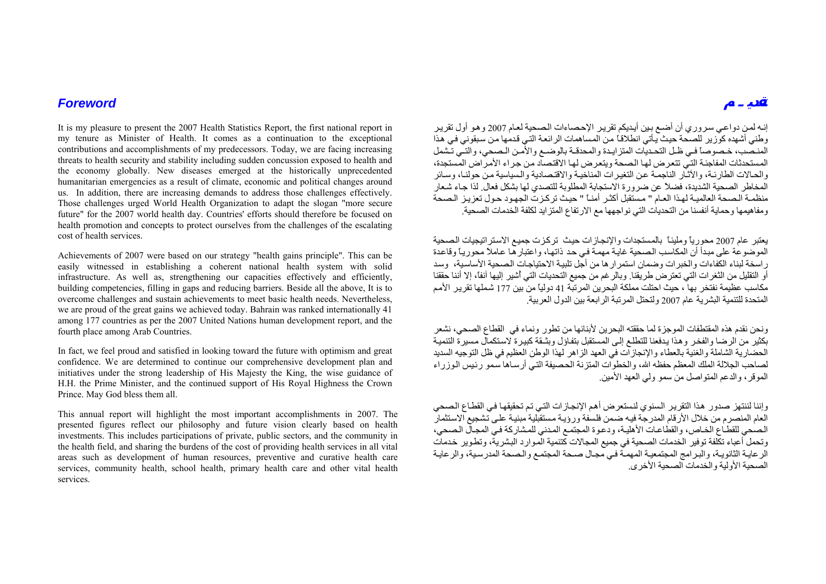## *Foreword*

It is my pleasure to present the 2007 Health Statistics Report, the first national report in my tenure as Minister of Health. It comes as a continuation to the exceptional contributions and accomplishments of my predecessors. Today, we are facing increasing threats to health security and stability including sudden concussion exposed to health and the economy globally. New diseases emerged at the historically unprecedented humanitarian emergencies as a result of climate, economic and political changes around us. In addition, there are increasing demands to address those challenges effectively. Those challenges urged World Health Organization to adapt the slogan "more secure future" for the 2007 world health day. Countries' efforts should therefore be focused on health promotion and concepts to protect ourselves from the challenges of the escalating cost of health services.

Achievements of 2007 were based on our strategy "health gains principle". This can be easily witnessed in establishing a coherent national health system with solid infrastructure. As well as, strengthening our capacities effectively and efficiently, building competencies, filling in gaps and reducing barriers. Beside all the above, It is to overcome challenges and sustain achievements to meet basic health needs. Nevertheless, we are proud of the great gains we achieved today. Bahrain was ranked internationally 41 among 177 countries as per the 2007 United Nations human development report, and the fourth place among Arab Countries.

In fact, we feel proud and satisfied in looking toward the future with optimism and great confidence. We are determined to continue our comprehensive development plan and initiatives under the strong leadership of His Majesty the King, the wise guidance of H.H. the Prime Minister, and the continued support of His Royal Highness the Crown Prince. May God bless them all.

This annual report will highlight the most important accomplishments in 2007. The presented figures reflect our philosophy and future vision clearly based on health investments. This includes participations of private, public sectors, and the community in the health field, and sharing the burdens of the cost of providing health services in all vital areas such as development of human resources, preventive and curative health care services, community health, school health, primary health care and other vital health services.

إنـه لمـن دواعـي سروري أن أضـع بـين أيـديكم تقرير الإحـصاءات الـصـحية لعـام 2007 وهو أول تقرير وطني أشهده كوّزير للصحة حيث يأتي انطلاقاً من المساهمات الرائعة التي قدمها من سبقوني في هذا المنصب، خصوصاً في ظـل التحديات المتزايـدة والمحدقـة بالوضـع والأمـن الـصحي، والتـي تـشمل المستحدثات المفاجئة التي تتعرض لها الصحة ويتعرض لها الاقتصاد من جراء الأمراض المستجدة، والحـالات الطار ئـة، والآثـّار الناجمـة عن التغير ات المناخيـة والاقتـصادية والـسياسية من حولنـا، وسـائر المخاطر الصحية الشديدة، فضلاً عن ضرورة الاستجابة المطلوبة للتصدي لها بشكل فعال. لذا جـاء شـعار منظمـة الـصحة العالميـة لهذا العـام " مـستقبل أكثـر أمنـًا " حيث تركـزت الجهـود حـول تعزيـز الـصحة ومفاهيمها وحماية أنفسنا من التحديات التي نواجهها مع الارتفاع المتزايد لكلفة الخدمات الصحية.

يعتبر عام 2007 محورياً ومليئاً بالمستجدات والإنجازات حيث تركزت جميع الاستراتيجيات الصحية الموضوعة على مبدأ أن المكاسب الصحية غايـة مهمـة في حد ذاتها، واعتبارها عاملاً محوريـاً وقاعدة ر اسخة لبناء الكفاءات و الخبر ات وضمان استمر ار ها من أجل تلبيـة الاحتياجـات الـصـحية الأساسية، وسد أو التقليل من الثغرات التي تعترض طريقنا. وبالرغم من جميع التحديات التي أُشير إليها آنفا،ً إلا أننا حققنا مكاسب عظيمة نفتخر بها ، حيث احتلت مملكة البحرين المرتبة 41 دولياً من بين 177 شملها تقرير الأمم المتحدة للتنمية البشرية عام <sup>2007</sup> ولتحتل المرتبة الرابعة بين الدول العربية.

ونحن نقدم هذه المقتطفات الموجزة لما حققته البحرين لأبنائها من تطور ونماء في القطاع الصحي، نشعر بكثير من الرضا والفخر وهذا يدفعنا للتطلع إلى المستقبل بتفاؤل وبثـقة كبيرة لاستكمال مسيرة التنمية الحضارية الشاملة والغنية بالعطاء والإنجازات في العهد الزاهر لهذا الوطن العظيم في ظل التوجيه السديد لصاحب الجلالة الملك المعظم حفظه الله، والخطوات المتزنة الحصيفة التـي أرسـاها سمو رئيس الـوزراء الموقر، والدعم المتواصل من سمو ولي العهد الأمين.

وإننا لننتهز صدور هذا التقرير السنوي لنستعرض أهم الإنجازات التي تم تحقيقها في القطاع الصحي العام المنصرم من خلال الأرقام المدرجة فيه ضمن فلسفة ورؤيـة مستقبلية مبنيـة علـى تشجيع الاستثمار الصحي للقطاع الخاص، والقطاعات الأهلية، ودعوة المجتمع المدني للمشاركة في المجال الصحي، وتحمل أعباء تكلفة توفير الخدمات الصحية في جميع المجالات كتنمية الموارد البشرية، وتطوير خدمات الرعايـة الثانويـة، والبرامج المجتمعيـة المهمـّة فـي مجـال صـحة المجتمـع والـصحة المدرسـية، والرعايـة الصحية الأولية والخدمات الصحية الأخرى.